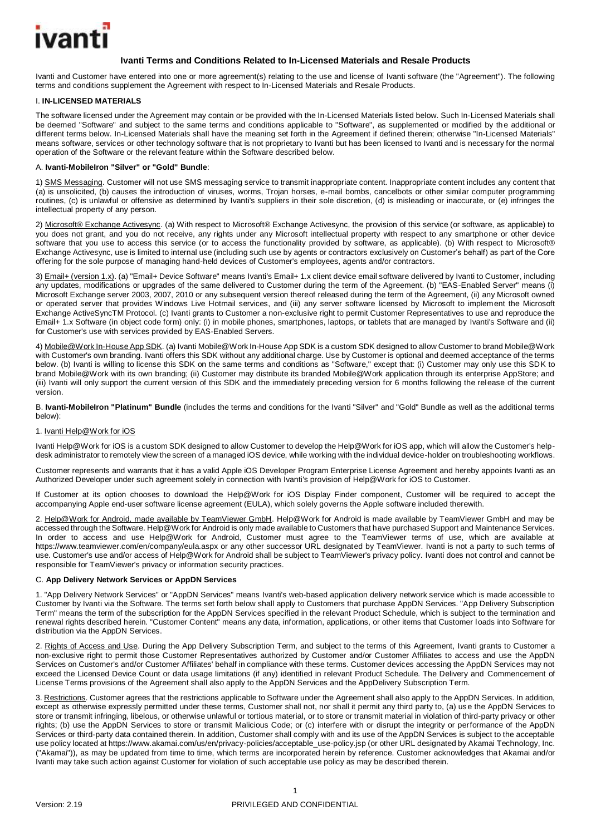

# **Ivanti Terms and Conditions Related to In-Licensed Materials and Resale Products**

Ivanti and Customer have entered into one or more agreement(s) relating to the use and license of Ivanti software (the "Agreement"). The following terms and conditions supplement the Agreement with respect to In-Licensed Materials and Resale Products.

### I. **IN-LICENSED MATERIALS**

The software licensed under the Agreement may contain or be provided with the In-Licensed Materials listed below. Such In-Licensed Materials shall be deemed "Software" and subject to the same terms and conditions applicable to "Software", as supplemented or modified by the additional or different terms below. In-Licensed Materials shall have the meaning set forth in the Agreement if defined therein; otherwise "In-Licensed Materials" means software, services or other technology software that is not proprietary to Ivanti but has been licensed to Ivanti and is necessary for the normal operation of the Software or the relevant feature within the Software described below.

### A. **Ivanti-MobileIron "Silver" or "Gold" Bundle**:

1) SMS Messaging. Customer will not use SMS messaging service to transmit inappropriate content. Inappropriate content includes any content that (a) is unsolicited, (b) causes the introduction of viruses, worms, Trojan horses, e-mail bombs, cancelbots or other similar computer programming routines, (c) is unlawful or offensive as determined by Ivanti's suppliers in their sole discretion, (d) is misleading or inaccurate, or (e) infringes the intellectual property of any person.

2) Microsoft® Exchange Activesync. (a) With respect to Microsoft® Exchange Activesync, the provision of this service (or software, as applicable) to you does not grant, and you do not receive, any rights under any Microsoft intellectual property with respect to any smartphone or other device software that you use to access this service (or to access the functionality provided by software, as applicable). (b) With respect to Microsoft® Exchange Activesync, use is limited to internal use (including such use by agents or contractors exclusively on Customer's behalf) as part of the Core offering for the sole purpose of managing hand-held devices of Customer's employees, agents and/or contractors.

3) Email+ (version 1.x). (a) "Email+ Device Software" means Ivanti's Email+ 1.x client device email software delivered by Ivanti to Customer, including any updates, modifications or upgrades of the same delivered to Customer during the term of the Agreement. (b) "EAS-Enabled Server" means (i) Microsoft Exchange server 2003, 2007, 2010 or any subsequent version thereof released during the term of the Agreement, (ii) any Microsoft owned or operated server that provides Windows Live Hotmail services, and (iii) any server software licensed by Microsoft to implement the Microsoft Exchange ActiveSyncTM Protocol. (c) Ivanti grants to Customer a non-exclusive right to permit Customer Representatives to use and reproduce the Email+ 1.x Software (in object code form) only: (i) in mobile phones, smartphones, laptops, or tablets that are managed by Ivanti's Software and (ii) for Customer's use with services provided by EAS-Enabled Servers.

4) Mobile@Work In-House App SDK. (a) Ivanti Mobile@Work In-House App SDK is a custom SDK designed to allow Customer to brand Mobile@Work with Customer's own branding. Ivanti offers this SDK without any additional charge. Use by Customer is optional and deemed acceptance of the terms below. (b) Ivanti is willing to license this SDK on the same terms and conditions as "Software," except that: (i) Customer may only use this SDK to brand Mobile@Work with its own branding; (ii) Customer may distribute its branded Mobile@Work application through its enterprise AppStore; and (iii) Ivanti will only support the current version of this SDK and the immediately preceding version for 6 months following the release of the current version.

B. **Ivanti-MobileIron "Platinum" Bundle** (includes the terms and conditions for the Ivanti "Silver" and "Gold" Bundle as well as the additional terms below):

### 1. Ivanti Help@Work for iOS

Ivanti Help@Work for iOS is a custom SDK designed to allow Customer to develop the Help@Work for iOS app, which will allow the Customer's helpdesk administrator to remotely view the screen of a managed iOS device, while working with the individual device-holder on troubleshooting workflows.

Customer represents and warrants that it has a valid Apple iOS Developer Program Enterprise License Agreement and hereby appoints Ivanti as an Authorized Developer under such agreement solely in connection with Ivanti's provision of Help@Work for iOS to Customer.

If Customer at its option chooses to download the Help@Work for iOS Display Finder component, Customer will be required to accept the accompanying Apple end-user software license agreement (EULA), which solely governs the Apple software included therewith.

2. Help@Work for Android, made available by TeamViewer GmbH. Help@Work for Android is made available by TeamViewer GmbH and may be accessed through the Software. Help@Work for Android is only made available to Customers that have purchased Support and Maintenance Services. In order to access and use Help@Work for Android, Customer must agree to the TeamViewer terms of use, which are available at https://www.teamviewer.com/en/company/eula.aspx or any other successor URL designated by TeamViewer. Ivanti is not a party to such terms of use. Customer's use and/or access of Help@Work for Android shall be subject to TeamViewer's privacy policy. Ivanti does not control and cannot be responsible for TeamViewer's privacy or information security practices.

## C. **App Delivery Network Services or AppDN Services**

1. "App Delivery Network Services" or "AppDN Services" means Ivanti's web-based application delivery network service which is made accessible to Customer by Ivanti via the Software. The terms set forth below shall apply to Customers that purchase AppDN Services. "App Delivery Subscription Term" means the term of the subscription for the AppDN Services specified in the relevant Product Schedule, which is subject to the termination and renewal rights described herein. "Customer Content" means any data, information, applications, or other items that Customer loads into Software for distribution via the AppDN Services.

2. Rights of Access and Use. During the App Delivery Subscription Term, and subject to the terms of this Agreement, Ivanti grants to Customer a non-exclusive right to permit those Customer Representatives authorized by Customer and/or Customer Affiliates to access and use the AppDN Services on Customer's and/or Customer Affiliates' behalf in compliance with these terms. Customer devices accessing the AppDN Services may not exceed the Licensed Device Count or data usage limitations (if any) identified in relevant Product Schedule. The Delivery and Commencement of License Terms provisions of the Agreement shall also apply to the AppDN Services and the AppDelivery Subscription Term.

3. Restrictions. Customer agrees that the restrictions applicable to Software under the Agreement shall also apply to the AppDN Services. In addition, except as otherwise expressly permitted under these terms, Customer shall not, nor shall it permit any third party to, (a) use the AppDN Services to store or transmit infringing, libelous, or otherwise unlawful or tortious material, or to store or transmit material in violation of third-party privacy or other rights; (b) use the AppDN Services to store or transmit Malicious Code; or (c) interfere with or disrupt the integrity or performance of the AppDN Services or third-party data contained therein. In addition, Customer shall comply with and its use of the AppDN Services is subject to the acceptable use policy located at https://www.akamai.com/us/en/privacy-policies/acceptable\_use-policy.jsp (or other URL designated by Akamai Technology, Inc. ("Akamai")), as may be updated from time to time, which terms are incorporated herein by reference. Customer acknowledges that Akamai and/or Ivanti may take such action against Customer for violation of such acceptable use policy as may be described therein.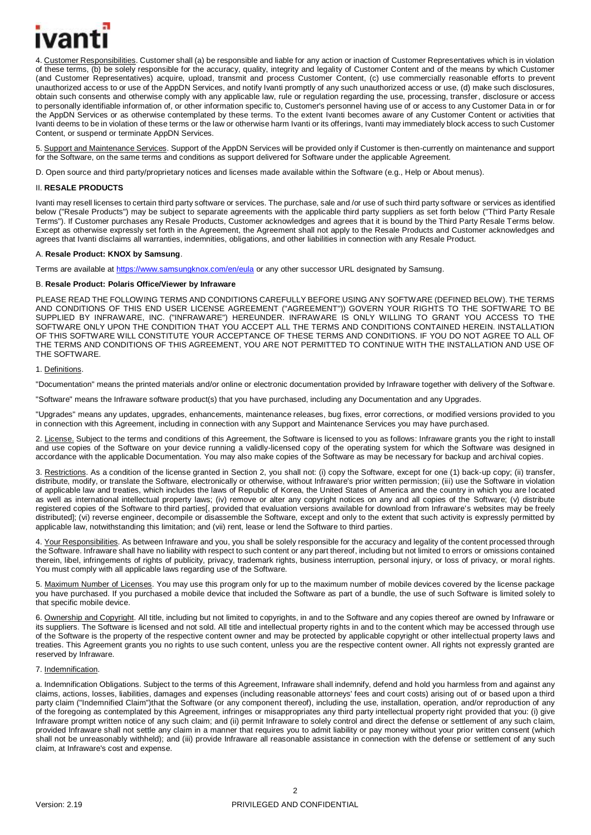

4. Customer Responsibilities. Customer shall (a) be responsible and liable for any action or inaction of Customer Representatives which is in violation of these terms, (b) be solely responsible for the accuracy, quality, integrity and legality of Customer Content and of the means by which Customer (and Customer Representatives) acquire, upload, transmit and process Customer Content, (c) use commercially reasonable efforts to prevent unauthorized access to or use of the AppDN Services, and notify Ivanti promptly of any such unauthorized access or use, (d) make such disclosures, obtain such consents and otherwise comply with any applicable law, rule or regulation regarding the use, processing, transfer, disclosure or access to personally identifiable information of, or other information specific to, Customer's personnel having use of or access to any Customer Data in or for the AppDN Services or as otherwise contemplated by these terms. To the extent Ivanti becomes aware of any Customer Content or activities that Ivanti deems to be in violation of these terms or the law or otherwise harm Ivanti or its offerings, Ivanti may immediately block access to such Customer Content, or suspend or terminate AppDN Services.

5. Support and Maintenance Services. Support of the AppDN Services will be provided only if Customer is then-currently on maintenance and support for the Software, on the same terms and conditions as support delivered for Software under the applicable Agreement.

D. Open source and third party/proprietary notices and licenses made available within the Software (e.g., Help or About menus).

### II. **RESALE PRODUCTS**

Ivanti may resell licenses to certain third party software or services. The purchase, sale and /or use of such third party software or services as identified below ("Resale Products") may be subject to separate agreements with the applicable third party suppliers as set forth below ("Third Party Resale Terms"). If Customer purchases any Resale Products, Customer acknowledges and agrees that it is bound by the Third Party Resale Terms below. Except as otherwise expressly set forth in the Agreement, the Agreement shall not apply to the Resale Products and Customer acknowledges and agrees that Ivanti disclaims all warranties, indemnities, obligations, and other liabilities in connection with any Resale Product.

### A. **Resale Product: KNOX by Samsung**.

Terms are available at <https://www.samsungknox.com/en/eula> or any other successor URL designated by Samsung.

### B. **Resale Product: Polaris Office/Viewer by Infraware**

PLEASE READ THE FOLLOWING TERMS AND CONDITIONS CAREFULLY BEFORE USING ANY SOFTWARE (DEFINED BELOW). THE TERMS AND CONDITIONS OF THIS END USER LICENSE AGREEMENT ("AGREEMENT")) GOVERN YOUR RIGHTS TO THE SOFTWARE TO BE SUPPLIED BY INFRAWARE, INC. ("INFRAWARE") HEREUNDER. INFRAWARE IS ONLY WILLING TO GRANT YOU ACCESS TO THE SOFTWARE ONLY UPON THE CONDITION THAT YOU ACCEPT ALL THE TERMS AND CONDITIONS CONTAINED HEREIN. INSTALLATION OF THIS SOFTWARE WILL CONSTITUTE YOUR ACCEPTANCE OF THESE TERMS AND CONDITIONS. IF YOU DO NOT AGREE TO ALL OF THE TERMS AND CONDITIONS OF THIS AGREEMENT, YOU ARE NOT PERMITTED TO CONTINUE WITH THE INSTALLATION AND USE OF THE SOFTWARE.

### 1. Definitions.

"Documentation" means the printed materials and/or online or electronic documentation provided by Infraware together with delivery of the Software.

"Software" means the Infraware software product(s) that you have purchased, including any Documentation and any Upgrades.

"Upgrades" means any updates, upgrades, enhancements, maintenance releases, bug fixes, error corrections, or modified versions provided to you in connection with this Agreement, including in connection with any Support and Maintenance Services you may have purchased.

2. License. Subject to the terms and conditions of this Agreement, the Software is licensed to you as follows: Infraware grants you the right to install and use copies of the Software on your device running a validly-licensed copy of the operating system for which the Software was designed in accordance with the applicable Documentation. You may also make copies of the Software as may be necessary for backup and archival copies.

3. Restrictions. As a condition of the license granted in Section 2, you shall not: (i) copy the Software, except for one (1) back-up copy; (ii) transfer, distribute, modify, or translate the Software, electronically or otherwise, without Infraware's prior written permission; (iii) use the Software in violation of applicable law and treaties, which includes the laws of Republic of Korea, the United States of America and the country in which you are located as well as international intellectual property laws; (iv) remove or alter any copyright notices on any and all copies of the Software; (v) distribute registered copies of the Software to third parties[, provided that evaluation versions available for download from Infraware's websites may be freely distributed]; (vi) reverse engineer, decompile or disassemble the Software, except and only to the extent that such activity is expressly permitted by applicable law, notwithstanding this limitation; and (vii) rent, lease or lend the Software to third parties.

4. Your Responsibilities. As between Infraware and you, you shall be solely responsible for the accuracy and legality of the content processed through the Software. Infraware shall have no liability with respect to such content or any part thereof, including but not limited to errors or omissions contained therein, libel, infringements of rights of publicity, privacy, trademark rights, business interruption, personal injury, or loss of privacy, or moral rights. You must comply with all applicable laws regarding use of the Software.

5. Maximum Number of Licenses. You may use this program only for up to the maximum number of mobile devices covered by the license package you have purchased. If you purchased a mobile device that included the Software as part of a bundle, the use of such Software is limited solely to that specific mobile device.

6. Ownership and Copyright. All title, including but not limited to copyrights, in and to the Software and any copies thereof are owned by Infraware or its suppliers. The Software is licensed and not sold. All title and intellectual property rights in and to the content which may be accessed through use of the Software is the property of the respective content owner and may be protected by applicable copyright or other intellectual property laws and treaties. This Agreement grants you no rights to use such content, unless you are the respective content owner. All rights not expressly granted are reserved by Infraware.

#### 7. Indemnification.

a. Indemnification Obligations. Subject to the terms of this Agreement, Infraware shall indemnify, defend and hold you harmless from and against any claims, actions, losses, liabilities, damages and expenses (including reasonable attorneys' fees and court costs) arising out of or based upon a third party claim ("Indemnified Claim")that the Software (or any component thereof), including the use, installation, operation, and/or reproduction of any of the foregoing as contemplated by this Agreement, infringes or misappropriates any third party intellectual property right provided that you: (i) give Infraware prompt written notice of any such claim; and (ii) permit Infraware to solely control and direct the defense or settlement of any such claim, provided Infraware shall not settle any claim in a manner that requires you to admit liability or pay money without your prior written consent (which shall not be unreasonably withheld); and (iii) provide Infraware all reasonable assistance in connection with the defense or settlement of any such claim, at Infraware's cost and expense.